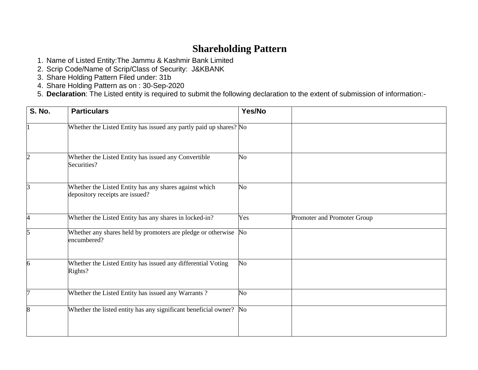# **Shareholding Pattern**

- 1. Name of Listed Entity:The Jammu & Kashmir Bank Limited
- 2. Scrip Code/Name of Scrip/Class of Security: J&KBANK
- 3. Share Holding Pattern Filed under: 31b
- 4. Share Holding Pattern as on : 30-Sep-2020
- 5. **Declaration**: The Listed entity is required to submit the following declaration to the extent of submission of information:-

| <b>S. No.</b> | <b>Particulars</b>                                                                        | Yes/No         |                             |
|---------------|-------------------------------------------------------------------------------------------|----------------|-----------------------------|
|               | Whether the Listed Entity has issued any partly paid up shares? No                        |                |                             |
|               | Whether the Listed Entity has issued any Convertible<br>Securities?                       | N <sub>o</sub> |                             |
|               | Whether the Listed Entity has any shares against which<br>depository receipts are issued? | No             |                             |
| 4             | Whether the Listed Entity has any shares in locked-in?                                    | Yes            | Promoter and Promoter Group |
| 5             | Whether any shares held by promoters are pledge or otherwise<br>encumbered?               | $\rm No$       |                             |
| 6             | Whether the Listed Entity has issued any differential Voting<br>Rights?                   | N <sub>o</sub> |                             |
|               | Whether the Listed Entity has issued any Warrants?                                        | No             |                             |
| 8             | Whether the listed entity has any significant beneficial owner? No                        |                |                             |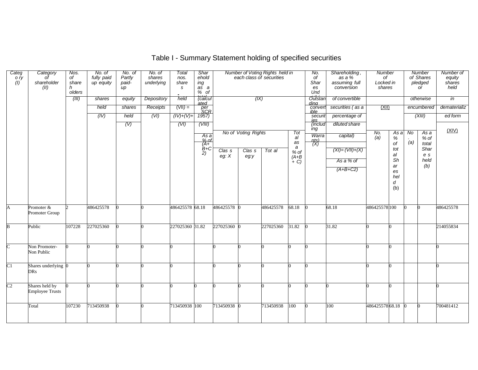| Categ<br>ory<br>(1) | Category<br>shareholder<br>(II)          | Nos.<br>of<br>share<br>olders | No. of<br>fully paid<br>up equity | No. of<br>Partly<br>paid-<br>$\mu$ | No. of<br>shares<br>underlying | Total<br>nos.<br>share<br>s | Shar<br>ehold<br>ing<br>as a<br>% of                                                                                                                                                                                                                                                                                                                                                                                                                                                                                                                                                                              |                   |                            | Number of Voting Rights held in<br>each class of securities |                   | No.<br>оf<br>Shar<br>es<br>Und | Shareholding,<br>as a %<br>assuming full<br>conversion | Number<br>of<br>Locked in<br>shares |            |     | Number<br>of Shares<br>pledged<br><b>or</b> | Number of<br>equity<br>shares<br>held |
|---------------------|------------------------------------------|-------------------------------|-----------------------------------|------------------------------------|--------------------------------|-----------------------------|-------------------------------------------------------------------------------------------------------------------------------------------------------------------------------------------------------------------------------------------------------------------------------------------------------------------------------------------------------------------------------------------------------------------------------------------------------------------------------------------------------------------------------------------------------------------------------------------------------------------|-------------------|----------------------------|-------------------------------------------------------------|-------------------|--------------------------------|--------------------------------------------------------|-------------------------------------|------------|-----|---------------------------------------------|---------------------------------------|
|                     |                                          | (III)                         | shares                            | equity                             | Depository                     | held                        | (calcul<br>ated                                                                                                                                                                                                                                                                                                                                                                                                                                                                                                                                                                                                   |                   | (IX)                       |                                                             |                   | Outstan<br>dina                | of convertible                                         |                                     |            |     | otherwise                                   | in                                    |
|                     |                                          |                               | held                              | shares                             | Receipts                       | $(VII) =$                   | $\frac{per}{SCR}$<br>1957)                                                                                                                                                                                                                                                                                                                                                                                                                                                                                                                                                                                        |                   |                            |                                                             |                   | convert<br>ible                | securities (as a                                       | <u>(XII)</u>                        |            |     | encumbered                                  | dematerializ                          |
|                     |                                          |                               | (IV)                              | held                               | (VI)                           | $(IV)+(V)+$                 |                                                                                                                                                                                                                                                                                                                                                                                                                                                                                                                                                                                                                   |                   |                            |                                                             |                   | securit<br>ies.                | percentage of                                          |                                     |            |     | (XIII)                                      | ed form                               |
|                     |                                          |                               |                                   | (V)                                |                                | (VI)                        | (VIII)                                                                                                                                                                                                                                                                                                                                                                                                                                                                                                                                                                                                            |                   |                            |                                                             |                   | (includ                        | diluted share                                          |                                     |            |     |                                             |                                       |
|                     |                                          |                               |                                   |                                    |                                |                             | As a                                                                                                                                                                                                                                                                                                                                                                                                                                                                                                                                                                                                              |                   | <b>No of Voting Rights</b> |                                                             | Tot               | ing<br>Warra                   | capital)                                               | No.                                 | Asa        | No  | Asa                                         | (XIV)                                 |
|                     |                                          |                               |                                   |                                    |                                |                             | $\begin{array}{c}\n\frac{\partial}{\partial A} & \text{of} \\ \frac{\partial}{\partial C} & \text{of} \\ \frac{\partial}{\partial C} & \text{of} \\ \frac{\partial}{\partial C} & \text{of} \\ \frac{\partial}{\partial C} & \text{of} \\ \frac{\partial}{\partial C} & \text{of} \\ \frac{\partial}{\partial C} & \text{of} \\ \frac{\partial}{\partial C} & \text{of} \\ \frac{\partial}{\partial C} & \text{of} \\ \frac{\partial}{\partial C} & \text{of} \\ \frac{\partial}{\partial C} & \text{of} \\ \frac{\partial}{\partial C} & \text{of} \\ \frac{\partial}{\partial C} & \text{of} \\ \frac{\partial$ |                   |                            |                                                             | al<br>as          | $\frac{n(s)}{(X)}$             |                                                        | (a)                                 | $\%$<br>of | (a) | % of<br>total                               |                                       |
|                     |                                          |                               |                                   |                                    |                                |                             | 2)                                                                                                                                                                                                                                                                                                                                                                                                                                                                                                                                                                                                                | Clas <sub>s</sub> | Clas <sub>s</sub>          | Tot al                                                      | a<br>% of         |                                | $(XI) = (VII)+(X)$                                     |                                     | tot        |     | Shar                                        |                                       |
|                     |                                          |                               |                                   |                                    |                                |                             |                                                                                                                                                                                                                                                                                                                                                                                                                                                                                                                                                                                                                   | eg: X             | eg:y                       |                                                             | $(A+B)$<br>$+C$ ) |                                | As a % of                                              |                                     | al<br>Sh   |     | e s<br>held                                 |                                       |
|                     |                                          |                               |                                   |                                    |                                |                             |                                                                                                                                                                                                                                                                                                                                                                                                                                                                                                                                                                                                                   |                   |                            |                                                             |                   |                                | $(A+B+C2)$                                             |                                     | ar         |     | (b)                                         |                                       |
|                     |                                          |                               |                                   |                                    |                                |                             |                                                                                                                                                                                                                                                                                                                                                                                                                                                                                                                                                                                                                   |                   |                            |                                                             |                   |                                |                                                        |                                     | es<br>hel  |     |                                             |                                       |
|                     |                                          |                               |                                   |                                    |                                |                             |                                                                                                                                                                                                                                                                                                                                                                                                                                                                                                                                                                                                                   |                   |                            |                                                             |                   |                                |                                                        |                                     | d          |     |                                             |                                       |
|                     |                                          |                               |                                   |                                    |                                |                             |                                                                                                                                                                                                                                                                                                                                                                                                                                                                                                                                                                                                                   |                   |                            |                                                             |                   |                                |                                                        |                                     | (b)        |     |                                             |                                       |
|                     |                                          |                               |                                   |                                    |                                |                             |                                                                                                                                                                                                                                                                                                                                                                                                                                                                                                                                                                                                                   |                   |                            |                                                             |                   |                                |                                                        |                                     |            |     |                                             |                                       |
| A                   | Promoter &<br>Promoter Group             |                               | 486425578                         |                                    |                                | 486425578 68.18             |                                                                                                                                                                                                                                                                                                                                                                                                                                                                                                                                                                                                                   | 486425578 0       |                            | 486425578                                                   | 68.18             |                                | 68.18                                                  | 486425578 100                       |            |     |                                             | 486425578                             |
| B                   | Public                                   | 107228                        | 227025360                         |                                    |                                | 227025360 31.82             |                                                                                                                                                                                                                                                                                                                                                                                                                                                                                                                                                                                                                   | 227025360 0       |                            | 227025360                                                   | 31.82             |                                | 31.82                                                  |                                     |            |     |                                             | 214055834                             |
|                     |                                          |                               |                                   |                                    |                                |                             |                                                                                                                                                                                                                                                                                                                                                                                                                                                                                                                                                                                                                   |                   |                            |                                                             |                   |                                |                                                        |                                     |            |     |                                             |                                       |
| $\cap$              | Non Promoter-                            |                               |                                   |                                    |                                |                             |                                                                                                                                                                                                                                                                                                                                                                                                                                                                                                                                                                                                                   |                   |                            |                                                             |                   |                                |                                                        |                                     |            |     |                                             |                                       |
|                     | Non Public                               |                               |                                   |                                    |                                |                             |                                                                                                                                                                                                                                                                                                                                                                                                                                                                                                                                                                                                                   |                   |                            |                                                             |                   |                                |                                                        |                                     |            |     |                                             |                                       |
| C1                  | Shares underlying 0<br><b>DRs</b>        |                               |                                   |                                    |                                |                             |                                                                                                                                                                                                                                                                                                                                                                                                                                                                                                                                                                                                                   |                   |                            |                                                             |                   |                                |                                                        |                                     |            |     |                                             |                                       |
|                     |                                          |                               |                                   |                                    |                                |                             |                                                                                                                                                                                                                                                                                                                                                                                                                                                                                                                                                                                                                   |                   |                            |                                                             |                   |                                |                                                        |                                     |            |     |                                             |                                       |
| C <sub>2</sub>      | Shares held by<br><b>Employee Trusts</b> |                               |                                   |                                    |                                |                             |                                                                                                                                                                                                                                                                                                                                                                                                                                                                                                                                                                                                                   |                   |                            |                                                             |                   |                                |                                                        |                                     |            |     |                                             |                                       |
|                     | Total                                    | 107230                        | 713450938                         |                                    |                                | 713450938 100               |                                                                                                                                                                                                                                                                                                                                                                                                                                                                                                                                                                                                                   | 713450938 0       |                            | 713450938                                                   | 100               |                                | 100                                                    | 48642557868.18                      |            |     |                                             | 700481412                             |
|                     |                                          |                               |                                   |                                    |                                |                             |                                                                                                                                                                                                                                                                                                                                                                                                                                                                                                                                                                                                                   |                   |                            |                                                             |                   |                                |                                                        |                                     |            |     |                                             |                                       |

## Table I - Summary Statement holding of specified securities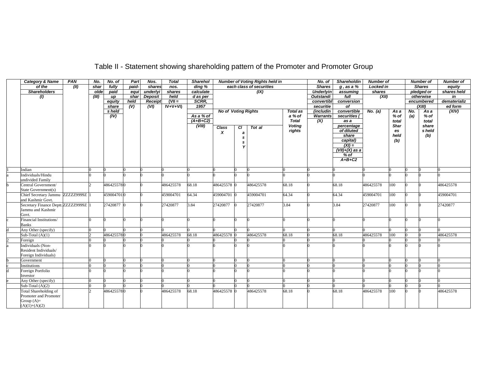## Table II - Statement showing shareholding pattern of the Promoter and Promoter Group

| <b>Category &amp; Name</b>                 | PAN  | No.   | No. of       | Part                      | Nos.           | <b>Total</b> | <b>Sharehol</b> |                            |    | <b>Number of Voting Rights held in</b> |                         | $\overline{N}$ o. of | Shareholdin              | <b>Number of</b> |               |     | <b>Number of</b> | <b>Number of</b> |
|--------------------------------------------|------|-------|--------------|---------------------------|----------------|--------------|-----------------|----------------------------|----|----------------------------------------|-------------------------|----------------------|--------------------------|------------------|---------------|-----|------------------|------------------|
| of the                                     | (11) | shar  | fully        | paid-                     | shares         | nos.         | ding %          |                            |    | each class of securities               |                         | <b>Shares</b>        | $g$ , as a $%$           | <b>Locked in</b> |               |     | <b>Shares</b>    | equity           |
| <b>Shareholders</b>                        |      | olde  | paid         | equi                      | underlyi       | shares       | calculate       |                            |    | (X)                                    |                         | <b>Underlyin</b>     | assuming                 | shares           |               |     | pledged or       | shares held      |
| (1)                                        |      | (III) | up           | shar                      | <b>Deposit</b> | held         | d as per        |                            |    |                                        |                         | <b>Outstandi</b>     | full                     | (XII)            |               |     | otherwise        | in               |
|                                            |      |       | equity       | held                      | Receipt        | $(VII =$     | SCRR,           |                            |    |                                        |                         | convertibl           | conversion               |                  |               |     | encumbered       | dematerializ     |
|                                            |      |       | share        | $\overline{(\mathsf{V})}$ | (VI)           | $IV+V+VI$    | 1957            |                            |    |                                        |                         | securitie            | of                       |                  |               |     | (XIII)           | ed form          |
|                                            |      |       | s held       |                           |                |              |                 | <b>No of Voting Rights</b> |    |                                        | <b>Total as</b>         | (includin            | convertible              | No. (a)          | As a          | No. | As a             | (XIV)            |
|                                            |      |       | $\sqrt{(V)}$ |                           |                |              | As a % of       |                            |    |                                        | a % of                  | <b>Warrants</b>      | securities (             |                  | % of          | (a) | % of             |                  |
|                                            |      |       |              |                           |                |              | $(A+B+C2)$      |                            |    |                                        | <b>Total</b>            | (X)                  | as a                     |                  | total<br>Shar |     | total            |                  |
|                                            |      |       |              |                           |                |              | (VIII)          | <b>Class</b>               | СI | Tot al                                 | <b>Voting</b><br>rights |                      | percentage<br>of diluted |                  |               |     | share<br>s held  |                  |
|                                            |      |       |              |                           |                |              |                 | x                          | a  |                                        |                         |                      | share                    |                  | es<br>held    |     | (b)              |                  |
|                                            |      |       |              |                           |                |              |                 |                            | s  |                                        |                         |                      | capital)                 |                  | (b)           |     |                  |                  |
|                                            |      |       |              |                           |                |              |                 |                            | s  |                                        |                         |                      | $(XI) =$                 |                  |               |     |                  |                  |
|                                            |      |       |              |                           |                |              |                 |                            |    |                                        |                         |                      | $(VII)+(X)$ as a         |                  |               |     |                  |                  |
|                                            |      |       |              |                           |                |              |                 |                            |    |                                        |                         |                      | $%$ of                   |                  |               |     |                  |                  |
|                                            |      |       |              |                           |                |              |                 |                            |    |                                        |                         |                      | $A+B+C2$                 |                  |               |     |                  |                  |
|                                            |      |       |              |                           |                |              |                 |                            |    |                                        |                         |                      |                          |                  |               |     |                  |                  |
| Indian                                     |      |       |              |                           |                |              |                 |                            |    |                                        |                         |                      |                          |                  |               |     |                  |                  |
| Individuals/Hindu                          |      |       |              |                           |                |              |                 |                            |    |                                        |                         |                      |                          |                  |               |     |                  |                  |
| undivided Family                           |      |       |              |                           |                |              |                 |                            |    |                                        | 68.18                   |                      | 68.18                    |                  | 100           |     |                  |                  |
| Central Government/<br>State Government(s) |      |       | 4864255780   |                           |                | 486425578    | 68.18           | 486425578 0                |    | 486425578                              |                         |                      |                          | 486425578        |               |     |                  | 486425578        |
| Chief Secretary Jammu ZZZZZ29999Z          |      |       | 4590047010   |                           |                | 459004701    | 64.34           | 459004701 0                |    | 459004701                              | 64.34                   |                      | 64.34                    | 459004701        | 100           |     |                  | 459004701        |
| and Kashmir Govt.                          |      |       |              |                           |                |              |                 |                            |    |                                        |                         |                      |                          |                  |               |     |                  |                  |
| Secretary Finance Deptt. ZZZZZ29999Z       |      |       | 27420877 0   |                           |                | 27420877     | 3.84            | 27420877                   |    | 27420877                               | 3.84                    |                      | 3.84                     | 27420877         | 100           |     |                  | 27420877         |
| Jammu and Kashmir                          |      |       |              |                           |                |              |                 |                            |    |                                        |                         |                      |                          |                  |               |     |                  |                  |
| Govt.                                      |      |       |              |                           |                |              |                 |                            |    |                                        |                         |                      |                          |                  |               |     |                  |                  |
| Financial Institutions/                    |      |       |              |                           |                |              |                 |                            | n  |                                        |                         |                      |                          |                  |               |     |                  |                  |
| <b>Banks</b>                               |      |       |              |                           |                |              |                 |                            |    |                                        |                         |                      |                          |                  |               |     |                  |                  |
| Any Other (specify)                        |      |       |              |                           |                |              |                 |                            |    |                                        |                         |                      |                          |                  |               |     |                  |                  |
| Sub-Total $(A)(1)$                         |      |       | 4864255780   |                           |                | 486425578    | 68.18           | 486425578 0                |    | 486425578                              | 68.18                   |                      | 68.18                    | 486425578        | 100           |     |                  | 486425578        |
| Foreign                                    |      |       |              |                           |                |              |                 |                            |    |                                        |                         |                      |                          |                  |               |     |                  |                  |
| Individuals (Non-                          |      |       |              |                           |                |              |                 |                            |    |                                        |                         |                      |                          |                  |               |     |                  |                  |
| Resident Individuals/                      |      |       |              |                           |                |              |                 |                            |    |                                        |                         |                      |                          |                  |               |     |                  |                  |
| Foreign Individuals)                       |      |       |              |                           |                |              |                 |                            |    |                                        |                         |                      |                          |                  |               |     |                  |                  |
| Government                                 |      |       |              |                           |                |              |                 |                            |    |                                        |                         |                      |                          |                  |               |     |                  |                  |
| Institutions                               |      |       |              |                           |                |              |                 |                            |    |                                        |                         |                      |                          |                  |               |     |                  |                  |
| Foreign Portfolio                          |      |       |              |                           |                |              |                 |                            |    |                                        |                         |                      |                          |                  |               |     |                  |                  |
| Investor                                   |      |       |              |                           |                |              |                 |                            |    |                                        |                         |                      |                          |                  |               |     |                  |                  |
| Any Other (specify)                        |      |       |              |                           |                |              |                 |                            |    |                                        |                         |                      |                          |                  |               |     |                  |                  |
| Sub-Total $(A)(2)$                         |      |       |              |                           |                |              |                 |                            |    |                                        |                         |                      |                          |                  |               |     |                  |                  |
| Total Shareholding of                      |      |       | 4864255780   |                           |                | 486425578    | 68.18           | 486425578 0                |    | 486425578                              | 68.18                   |                      | 68.18                    | 486425578        | 100           |     |                  | 486425578        |
| Promoter and Promoter                      |      |       |              |                           |                |              |                 |                            |    |                                        |                         |                      |                          |                  |               |     |                  |                  |
| Group $(A)=$                               |      |       |              |                           |                |              |                 |                            |    |                                        |                         |                      |                          |                  |               |     |                  |                  |
| $(A)(1)+(A)(2)$                            |      |       |              |                           |                |              |                 |                            |    |                                        |                         |                      |                          |                  |               |     |                  |                  |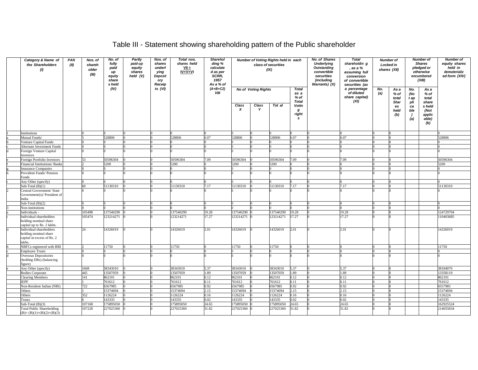## Table III - Statement showing shareholding pattern of the Public shareholder

| Category & Name of<br>the Shareholders<br>(1)                                           | PAN<br>(II) | Nos. of<br>shareh<br>older<br>(III) | No. of<br>fully<br>paid<br>иp<br>equity<br>share<br>s held | Partly<br>paid-up<br>equity<br>shares<br>held (V) | Nos. of<br>shares<br>underl<br>ying<br>Deposit<br>ory<br>Receip | Total nos.<br>shares held<br>$VII =$<br>$IV + V + VI$ | Sharehol<br>ding %<br>calculate<br>d as per<br>SCRR,<br>1957<br>As a % of |                           |                            | Number of Voting Rights held in each<br>class of securities<br>(IX) |                                              | No. of Shares<br><b>Underlying</b><br><b>Outstanding</b><br>convertible<br>securities<br>(including<br>Warrants) (X) | <b>Total</b><br>shareholdin g<br>, as a %<br>assuming full<br>conversion<br>of convertible<br>securities (as | Number of<br>Locked in<br>shares (XII) |                           |                         | Number of<br><b>Shares</b><br>pledged or<br>otherwise<br>encumbered<br>(XIII) | <b>Number of</b><br>equity shares<br>held in<br>dematerializ<br>ed form (XIV) |
|-----------------------------------------------------------------------------------------|-------------|-------------------------------------|------------------------------------------------------------|---------------------------------------------------|-----------------------------------------------------------------|-------------------------------------------------------|---------------------------------------------------------------------------|---------------------------|----------------------------|---------------------------------------------------------------------|----------------------------------------------|----------------------------------------------------------------------------------------------------------------------|--------------------------------------------------------------------------------------------------------------|----------------------------------------|---------------------------|-------------------------|-------------------------------------------------------------------------------|-------------------------------------------------------------------------------|
|                                                                                         |             |                                     | (IV)                                                       |                                                   | ts $(VI)$                                                       |                                                       | $(A+B+C2)$<br>VIII                                                        |                           | <b>No of Voting Rights</b> |                                                                     | <b>Total</b><br>as a<br>% of<br><b>Total</b> |                                                                                                                      | a percentage<br>of diluted<br>share capital)<br>(XI)                                                         | No.<br>(a)                             | As a<br>% of<br>total     | No.<br>(No<br>t ap      | As a<br>$%$ of<br>total                                                       |                                                                               |
|                                                                                         |             |                                     |                                                            |                                                   |                                                                 |                                                       |                                                                           | Class<br>$\boldsymbol{x}$ | Class<br>Y                 | Tot al                                                              | Votin<br>g<br>right<br>s                     |                                                                                                                      |                                                                                                              |                                        | Shar<br>es<br>held<br>(b) | pli<br>ca<br>ble<br>(a) | share<br>s held<br>(Not<br>applic<br>able)<br>(b)                             |                                                                               |
| nstitutions                                                                             |             |                                     |                                                            |                                                   |                                                                 |                                                       |                                                                           |                           |                            |                                                                     |                                              |                                                                                                                      |                                                                                                              |                                        |                           |                         |                                                                               |                                                                               |
| <b>Autual Funds/</b>                                                                    |             |                                     | 528806                                                     |                                                   |                                                                 | 528806                                                | 0.07                                                                      | 528806                    |                            | 28806                                                               | 0.7                                          |                                                                                                                      | 0.07                                                                                                         |                                        |                           |                         |                                                                               | 528806                                                                        |
| enture Capital Funds                                                                    |             |                                     |                                                            |                                                   |                                                                 |                                                       |                                                                           |                           |                            |                                                                     |                                              |                                                                                                                      |                                                                                                              |                                        |                           |                         |                                                                               |                                                                               |
| Alternate Investment Funds                                                              |             |                                     |                                                            |                                                   |                                                                 |                                                       |                                                                           |                           |                            |                                                                     |                                              |                                                                                                                      |                                                                                                              |                                        |                           |                         |                                                                               |                                                                               |
| oreign Venture Capital<br>nvestors                                                      |             |                                     |                                                            |                                                   |                                                                 |                                                       |                                                                           |                           |                            |                                                                     |                                              |                                                                                                                      |                                                                                                              |                                        |                           |                         |                                                                               |                                                                               |
| oreign Portfolio Investors                                                              |             | 53                                  | 50596304                                                   |                                                   |                                                                 | 50596304                                              | 7.09                                                                      | 50596304                  |                            | 50596304                                                            | 7.09                                         |                                                                                                                      | 7.09                                                                                                         |                                        |                           |                         |                                                                               | 50596304                                                                      |
| inancial Institutions/ Banks                                                            |             |                                     | 5200                                                       |                                                   |                                                                 | 5200                                                  |                                                                           | 5200                      |                            | 5200                                                                |                                              |                                                                                                                      |                                                                                                              |                                        |                           |                         |                                                                               | 5200                                                                          |
| nsurance Companies                                                                      |             |                                     |                                                            |                                                   |                                                                 |                                                       |                                                                           |                           |                            |                                                                     |                                              |                                                                                                                      |                                                                                                              |                                        |                           |                         |                                                                               |                                                                               |
| rovident Funds/ Pension<br>unds                                                         |             |                                     |                                                            |                                                   |                                                                 |                                                       |                                                                           |                           |                            |                                                                     |                                              |                                                                                                                      |                                                                                                              |                                        |                           |                         |                                                                               |                                                                               |
| Any Other (specify)                                                                     |             |                                     |                                                            |                                                   |                                                                 |                                                       |                                                                           |                           |                            |                                                                     |                                              |                                                                                                                      |                                                                                                              |                                        |                           |                         |                                                                               |                                                                               |
| $Sub-Total(B)(1)$                                                                       |             | 60                                  | 51130310                                                   |                                                   |                                                                 | 51130310                                              | 7.17                                                                      | 51130310                  |                            | 51130310                                                            | 7.17                                         |                                                                                                                      | 7.17                                                                                                         |                                        |                           |                         |                                                                               | 51130310                                                                      |
| Central Government/ State<br>Government(s)/ President of<br>ndia                        |             |                                     |                                                            |                                                   |                                                                 |                                                       |                                                                           |                           |                            |                                                                     |                                              |                                                                                                                      |                                                                                                              |                                        |                           |                         |                                                                               |                                                                               |
| Sub-Total $(B)(2)$                                                                      |             |                                     |                                                            |                                                   |                                                                 |                                                       |                                                                           |                           |                            |                                                                     |                                              |                                                                                                                      |                                                                                                              |                                        |                           |                         |                                                                               |                                                                               |
| <b>Non-institutions</b>                                                                 |             |                                     |                                                            |                                                   |                                                                 |                                                       |                                                                           |                           |                            |                                                                     |                                              |                                                                                                                      |                                                                                                              |                                        |                           |                         |                                                                               |                                                                               |
| ndividuals -                                                                            |             | 105498                              | 137540290                                                  |                                                   |                                                                 | 137540290                                             | 19.28                                                                     | 137540290                 |                            | 137540290                                                           | 19.28                                        |                                                                                                                      | 19.28                                                                                                        |                                        |                           |                         |                                                                               | 124729704                                                                     |
| ndividual shareholders<br>holding nominal share<br>apital up to Rs. 2 lakhs.            |             | 105474                              | 123214271                                                  |                                                   |                                                                 | 123214271                                             | 17.27                                                                     | 123214271                 |                            | 123214271                                                           | 17.27                                        |                                                                                                                      | 17.27                                                                                                        |                                        |                           |                         |                                                                               | 10403685                                                                      |
| Individual shareholders<br>holding nominal share<br>capital in excess of Rs. 2<br>akhs. |             | 24                                  | 14326019                                                   |                                                   |                                                                 | 14326019                                              | 2.01                                                                      | 14326019                  |                            | 14326019                                                            | 2.01                                         |                                                                                                                      | 2.01                                                                                                         |                                        |                           |                         |                                                                               | 14326019                                                                      |
| NBFCs registered with RBI                                                               |             |                                     | 11750                                                      |                                                   |                                                                 | 11750                                                 |                                                                           | 11750                     |                            | 11750                                                               |                                              |                                                                                                                      |                                                                                                              |                                        |                           |                         |                                                                               | 11750                                                                         |
| <b>Employee Trusts</b>                                                                  |             |                                     |                                                            |                                                   |                                                                 |                                                       |                                                                           |                           |                            |                                                                     |                                              |                                                                                                                      |                                                                                                              |                                        |                           |                         |                                                                               |                                                                               |
| Overseas Depositories<br>holding DRs) (balancing<br>igure)                              |             |                                     |                                                            |                                                   |                                                                 |                                                       |                                                                           |                           |                            |                                                                     |                                              |                                                                                                                      |                                                                                                              |                                        |                           |                         |                                                                               |                                                                               |
| Any Other (specify)                                                                     |             | 1668                                | 38343010                                                   |                                                   |                                                                 | 38343010                                              | 5.37                                                                      | 38343010                  |                            | 38343010                                                            | 5.37                                         |                                                                                                                      | 5.37                                                                                                         |                                        |                           |                         |                                                                               | 38184070                                                                      |
| <b>Bodies Corporate</b>                                                                 |             | 445                                 | 13507059                                                   |                                                   |                                                                 | 13507059                                              | 1.89                                                                      | 13507059                  |                            | 13507059                                                            | 1.89                                         |                                                                                                                      | 1.89                                                                                                         |                                        |                           |                         |                                                                               | 13358119                                                                      |
| learing Members                                                                         |             | 141                                 | 362101                                                     |                                                   |                                                                 | 862101                                                | 0.12                                                                      | 862101                    |                            | 362101                                                              | 0.12                                         |                                                                                                                      | 0.12                                                                                                         |                                        |                           |                         |                                                                               | 862101                                                                        |
| <b>EPF</b>                                                                              |             |                                     | 761612                                                     |                                                   |                                                                 | 761612                                                | 0.11                                                                      | 761612                    |                            | 761612                                                              | 0.11                                         |                                                                                                                      | 0.11                                                                                                         |                                        |                           |                         |                                                                               | 761612                                                                        |
| <b>Non-Resident Indian (NRI)</b>                                                        |             | 722                                 | 5567985                                                    |                                                   |                                                                 | 6567985                                               | 0.92                                                                      | 6567985                   |                            | 6567985                                                             | 0.92                                         |                                                                                                                      | 0.92                                                                                                         |                                        |                           |                         |                                                                               | 6557985                                                                       |
| <b>Others</b>                                                                           |             |                                     | 15374694                                                   |                                                   |                                                                 | 15374694                                              | 2.15                                                                      | 15374694                  |                            | 15374694                                                            | 2.15                                         |                                                                                                                      | 2.15                                                                                                         |                                        |                           |                         |                                                                               | 15374694                                                                      |
| Others                                                                                  |             | 352                                 | 1126224                                                    |                                                   |                                                                 | 1126224                                               | 0.16                                                                      | 1126224                   |                            | 126224                                                              | 0.16                                         |                                                                                                                      | 0.16                                                                                                         |                                        |                           |                         |                                                                               | 1126224                                                                       |
| rusts                                                                                   |             |                                     | 143335                                                     |                                                   |                                                                 | 143335                                                | 0.02                                                                      | 143335                    |                            | 143335                                                              | 0.02                                         |                                                                                                                      | 0.02                                                                                                         |                                        |                           |                         |                                                                               | 143335                                                                        |
| $Sub-Total(B)(3)$                                                                       |             | 107168                              | 75895050                                                   |                                                   |                                                                 | 75895050                                              | 24.65                                                                     | 175895050                 |                            | 75895050                                                            | 24.65                                        |                                                                                                                      | 24.65                                                                                                        |                                        |                           |                         |                                                                               | 62925524                                                                      |
| <b>Total Public Shareholding</b><br>$(B)=(B)(1)+(B)(2)+(B)(3)$                          |             | 107228                              | 227025360                                                  |                                                   |                                                                 | 227025360                                             | 31.82                                                                     | 227025360                 |                            | 27025360                                                            | 31.82                                        |                                                                                                                      | 31.82                                                                                                        |                                        |                           |                         |                                                                               | 214055834                                                                     |